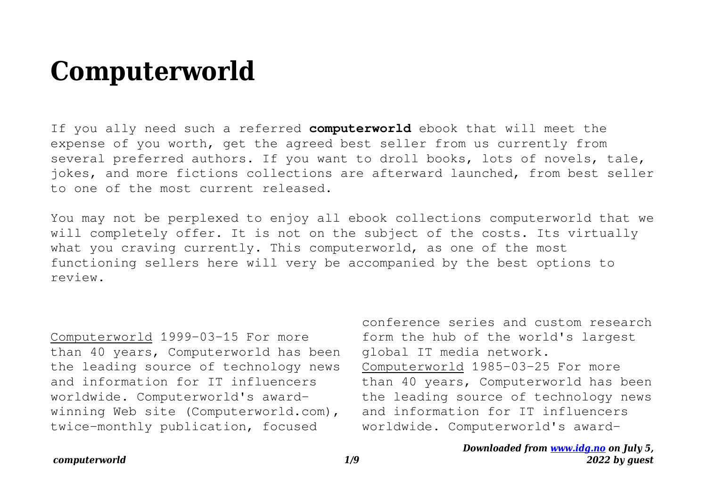## **Computerworld**

If you ally need such a referred **computerworld** ebook that will meet the expense of you worth, get the agreed best seller from us currently from several preferred authors. If you want to droll books, lots of novels, tale, jokes, and more fictions collections are afterward launched, from best seller to one of the most current released.

You may not be perplexed to enjoy all ebook collections computerworld that we will completely offer. It is not on the subject of the costs. Its virtually what you craving currently. This computerworld, as one of the most functioning sellers here will very be accompanied by the best options to review.

Computerworld 1999-03-15 For more than 40 years, Computerworld has been the leading source of technology news and information for IT influencers worldwide. Computerworld's awardwinning Web site (Computerworld.com), twice-monthly publication, focused

conference series and custom research form the hub of the world's largest global IT media network. Computerworld 1985-03-25 For more than 40 years, Computerworld has been the leading source of technology news and information for IT influencers worldwide. Computerworld's award-

## *Downloaded from [www.idg.no](http://www.idg.no) on July 5, 2022 by guest*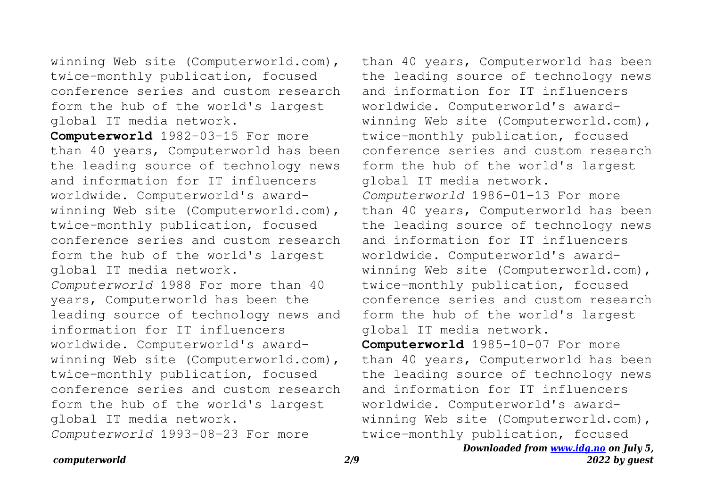winning Web site (Computerworld.com), twice-monthly publication, focused conference series and custom research form the hub of the world's largest global IT media network.

**Computerworld** 1982-03-15 For more than 40 years, Computerworld has been the leading source of technology news and information for IT influencers worldwide. Computerworld's awardwinning Web site (Computerworld.com), twice-monthly publication, focused conference series and custom research form the hub of the world's largest global IT media network. *Computerworld* 1988 For more than 40 years, Computerworld has been the leading source of technology news and information for IT influencers worldwide. Computerworld's awardwinning Web site (Computerworld.com), twice-monthly publication, focused conference series and custom research form the hub of the world's largest global IT media network.

*Computerworld* 1993-08-23 For more

than 40 years, Computerworld has been the leading source of technology news and information for IT influencers worldwide. Computerworld's awardwinning Web site (Computerworld.com), twice-monthly publication, focused conference series and custom research form the hub of the world's largest global IT media network. *Computerworld* 1986-01-13 For more than 40 years, Computerworld has been the leading source of technology news and information for IT influencers worldwide. Computerworld's awardwinning Web site (Computerworld.com), twice-monthly publication, focused conference series and custom research form the hub of the world's largest global IT media network. **Computerworld** 1985-10-07 For more than 40 years, Computerworld has been the leading source of technology news and information for IT influencers worldwide. Computerworld's awardwinning Web site (Computerworld.com),

*Downloaded from [www.idg.no](http://www.idg.no) on July 5,* twice-monthly publication, focused

## *computerworld 2/9*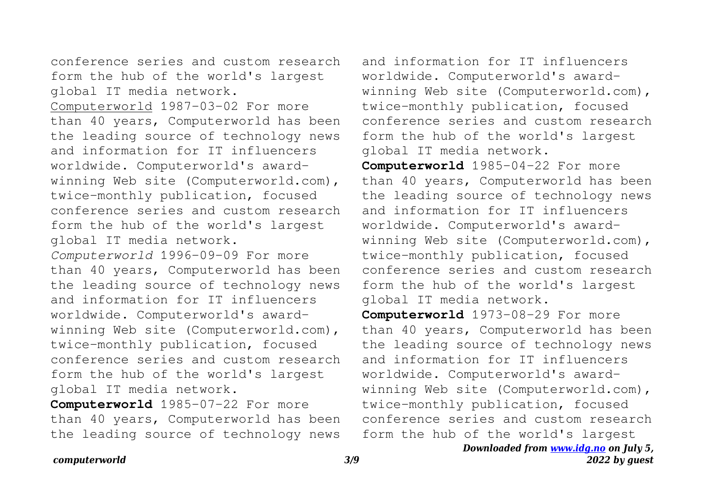conference series and custom research form the hub of the world's largest global IT media network.

Computerworld 1987-03-02 For more than 40 years, Computerworld has been the leading source of technology news and information for IT influencers worldwide. Computerworld's awardwinning Web site (Computerworld.com), twice-monthly publication, focused conference series and custom research form the hub of the world's largest global IT media network.

*Computerworld* 1996-09-09 For more than 40 years, Computerworld has been the leading source of technology news and information for IT influencers worldwide. Computerworld's awardwinning Web site (Computerworld.com), twice-monthly publication, focused conference series and custom research form the hub of the world's largest global IT media network.

**Computerworld** 1985-07-22 For more than 40 years, Computerworld has been the leading source of technology news

and information for IT influencers worldwide. Computerworld's awardwinning Web site (Computerworld.com), twice-monthly publication, focused conference series and custom research form the hub of the world's largest global IT media network.

**Computerworld** 1985-04-22 For more than 40 years, Computerworld has been the leading source of technology news and information for IT influencers worldwide. Computerworld's awardwinning Web site (Computerworld.com), twice-monthly publication, focused conference series and custom research form the hub of the world's largest global IT media network.

**Computerworld** 1973-08-29 For more than 40 years, Computerworld has been the leading source of technology news and information for IT influencers worldwide. Computerworld's awardwinning Web site (Computerworld.com), twice-monthly publication, focused conference series and custom research form the hub of the world's largest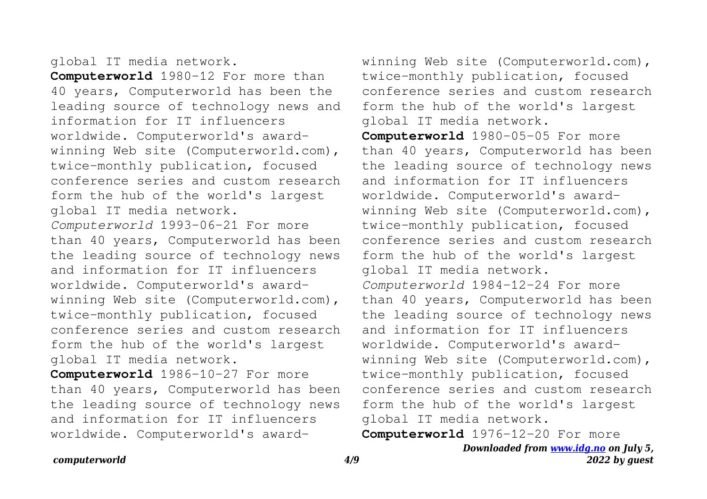## global IT media network.

**Computerworld** 1980-12 For more than 40 years, Computerworld has been the leading source of technology news and information for IT influencers worldwide. Computerworld's awardwinning Web site (Computerworld.com), twice-monthly publication, focused conference series and custom research form the hub of the world's largest global IT media network. *Computerworld* 1993-06-21 For more than 40 years, Computerworld has been the leading source of technology news and information for IT influencers worldwide. Computerworld's awardwinning Web site (Computerworld.com), twice-monthly publication, focused conference series and custom research form the hub of the world's largest global IT media network.

**Computerworld** 1986-10-27 For more than 40 years, Computerworld has been the leading source of technology news and information for IT influencers worldwide. Computerworld's awardwinning Web site (Computerworld.com), twice-monthly publication, focused conference series and custom research form the hub of the world's largest global IT media network.

**Computerworld** 1980-05-05 For more than 40 years, Computerworld has been the leading source of technology news and information for IT influencers worldwide. Computerworld's awardwinning Web site (Computerworld.com), twice-monthly publication, focused conference series and custom research form the hub of the world's largest global IT media network. *Computerworld* 1984-12-24 For more than 40 years, Computerworld has been the leading source of technology news and information for IT influencers worldwide. Computerworld's awardwinning Web site (Computerworld.com), twice-monthly publication, focused conference series and custom research form the hub of the world's largest global IT media network.

**Computerworld** 1976-12-20 For more

*Downloaded from [www.idg.no](http://www.idg.no) on July 5, 2022 by guest*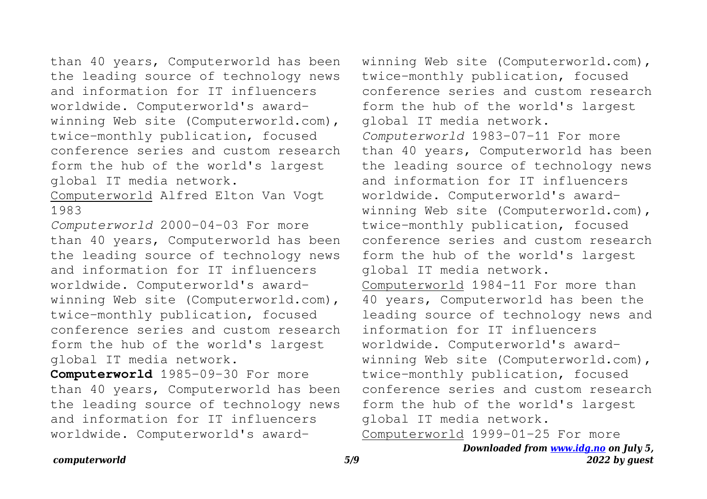than 40 years, Computerworld has been the leading source of technology news and information for IT influencers worldwide. Computerworld's awardwinning Web site (Computerworld.com), twice-monthly publication, focused conference series and custom research form the hub of the world's largest global IT media network.

Computerworld Alfred Elton Van Vogt 1983

*Computerworld* 2000-04-03 For more than 40 years, Computerworld has been the leading source of technology news and information for IT influencers worldwide. Computerworld's awardwinning Web site (Computerworld.com), twice-monthly publication, focused conference series and custom research form the hub of the world's largest global IT media network.

**Computerworld** 1985-09-30 For more than 40 years, Computerworld has been the leading source of technology news and information for IT influencers worldwide. Computerworld's awardwinning Web site (Computerworld.com), twice-monthly publication, focused conference series and custom research form the hub of the world's largest global IT media network. *Computerworld* 1983-07-11 For more than 40 years, Computerworld has been the leading source of technology news and information for IT influencers worldwide. Computerworld's awardwinning Web site (Computerworld.com), twice-monthly publication, focused conference series and custom research form the hub of the world's largest global IT media network. Computerworld 1984-11 For more than 40 years, Computerworld has been the leading source of technology news and information for IT influencers worldwide. Computerworld's awardwinning Web site (Computerworld.com), twice-monthly publication, focused conference series and custom research form the hub of the world's largest global IT media network. Computerworld 1999-01-25 For more

> *Downloaded from [www.idg.no](http://www.idg.no) on July 5, 2022 by guest*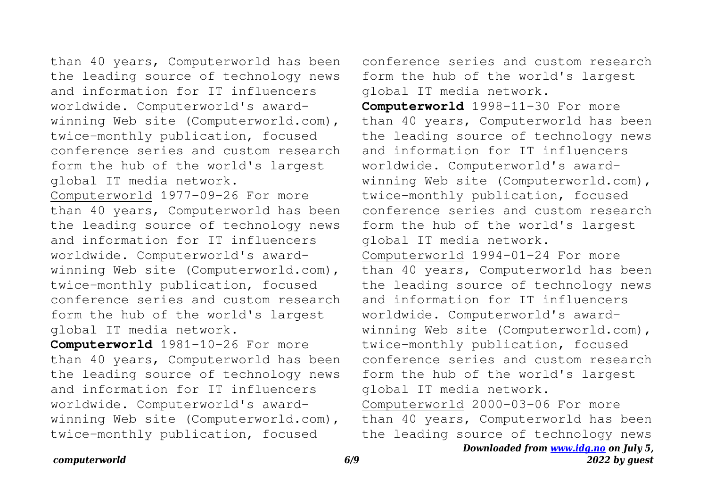than 40 years, Computerworld has been the leading source of technology news and information for IT influencers worldwide. Computerworld's awardwinning Web site (Computerworld.com), twice-monthly publication, focused conference series and custom research form the hub of the world's largest global IT media network.

Computerworld 1977-09-26 For more than 40 years, Computerworld has been the leading source of technology news and information for IT influencers worldwide. Computerworld's awardwinning Web site (Computerworld.com), twice-monthly publication, focused conference series and custom research form the hub of the world's largest global IT media network.

**Computerworld** 1981-10-26 For more than 40 years, Computerworld has been the leading source of technology news and information for IT influencers worldwide. Computerworld's awardwinning Web site (Computerworld.com), twice-monthly publication, focused

conference series and custom research form the hub of the world's largest global IT media network.

**Computerworld** 1998-11-30 For more than 40 years, Computerworld has been the leading source of technology news and information for IT influencers worldwide. Computerworld's awardwinning Web site (Computerworld.com), twice-monthly publication, focused conference series and custom research form the hub of the world's largest global IT media network. Computerworld 1994-01-24 For more than 40 years, Computerworld has been the leading source of technology news and information for IT influencers worldwide. Computerworld's awardwinning Web site (Computerworld.com), twice-monthly publication, focused conference series and custom research form the hub of the world's largest global IT media network. Computerworld 2000-03-06 For more

than 40 years, Computerworld has been the leading source of technology news

*computerworld 6/9*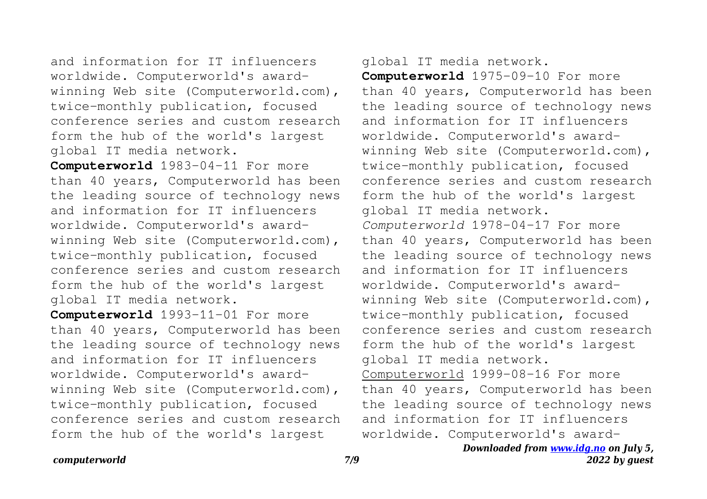and information for IT influencers worldwide. Computerworld's awardwinning Web site (Computerworld.com), twice-monthly publication, focused conference series and custom research form the hub of the world's largest global IT media network.

**Computerworld** 1983-04-11 For more than 40 years, Computerworld has been the leading source of technology news and information for IT influencers worldwide. Computerworld's awardwinning Web site (Computerworld.com), twice-monthly publication, focused conference series and custom research form the hub of the world's largest global IT media network.

**Computerworld** 1993-11-01 For more than 40 years, Computerworld has been the leading source of technology news and information for IT influencers worldwide. Computerworld's awardwinning Web site (Computerworld.com), twice-monthly publication, focused conference series and custom research form the hub of the world's largest

global IT media network.

**Computerworld** 1975-09-10 For more than 40 years, Computerworld has been the leading source of technology news and information for IT influencers worldwide. Computerworld's awardwinning Web site (Computerworld.com), twice-monthly publication, focused conference series and custom research form the hub of the world's largest global IT media network. *Computerworld* 1978-04-17 For more than 40 years, Computerworld has been the leading source of technology news and information for IT influencers worldwide. Computerworld's awardwinning Web site (Computerworld.com), twice-monthly publication, focused conference series and custom research form the hub of the world's largest global IT media network. Computerworld 1999-08-16 For more than 40 years, Computerworld has been the leading source of technology news and information for IT influencers worldwide. Computerworld's award-

> *Downloaded from [www.idg.no](http://www.idg.no) on July 5, 2022 by guest*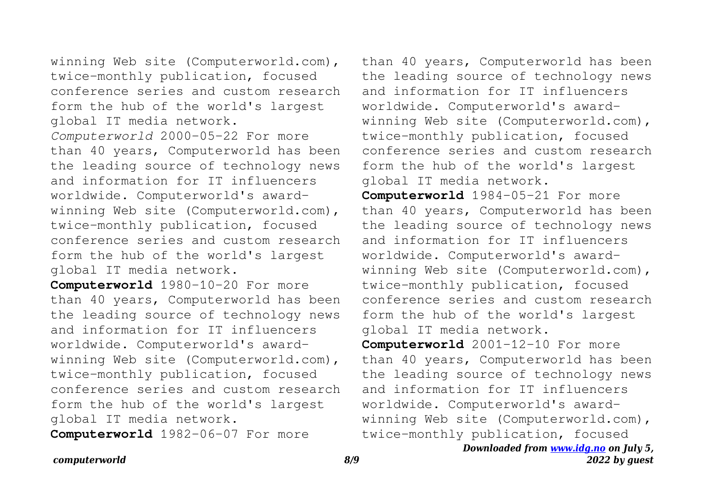winning Web site (Computerworld.com), twice-monthly publication, focused conference series and custom research form the hub of the world's largest global IT media network. *Computerworld* 2000-05-22 For more than 40 years, Computerworld has been the leading source of technology news and information for IT influencers worldwide. Computerworld's awardwinning Web site (Computerworld.com), twice-monthly publication, focused conference series and custom research form the hub of the world's largest global IT media network.

**Computerworld** 1980-10-20 For more than 40 years, Computerworld has been the leading source of technology news and information for IT influencers worldwide. Computerworld's awardwinning Web site (Computerworld.com), twice-monthly publication, focused conference series and custom research form the hub of the world's largest global IT media network.

**Computerworld** 1982-06-07 For more

than 40 years, Computerworld has been the leading source of technology news and information for IT influencers worldwide. Computerworld's awardwinning Web site (Computerworld.com), twice-monthly publication, focused conference series and custom research form the hub of the world's largest global IT media network.

**Computerworld** 1984-05-21 For more than 40 years, Computerworld has been the leading source of technology news and information for IT influencers worldwide. Computerworld's awardwinning Web site (Computerworld.com), twice-monthly publication, focused conference series and custom research form the hub of the world's largest global IT media network. **Computerworld** 2001-12-10 For more than 40 years, Computerworld has been the leading source of technology news and information for IT influencers

worldwide. Computerworld's awardwinning Web site (Computerworld.com),

*Downloaded from [www.idg.no](http://www.idg.no) on July 5, 2022 by guest* twice-monthly publication, focused